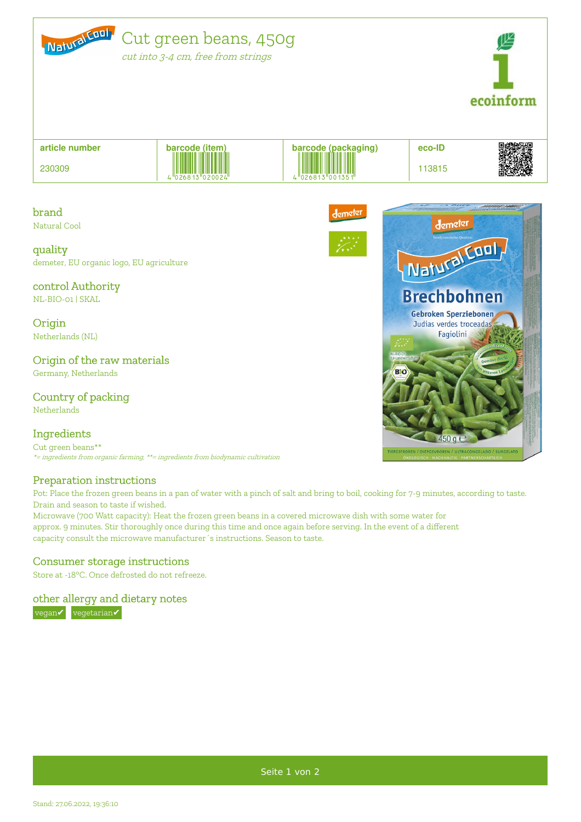



**article number** 230309 **barcode (item) barcode (packaging) eco-ID**  $\frac{1}{4}$ 

demeter

# brand

Natural Cool

#### quality

demeter, EU organic logo, EU agriculture

## control Authority

NL-BIO-01 | SKAL

**Origin** Netherlands (NL)

## Origin of the raw materials

Germany, Netherlands

# Country of packing

Netherlands

## Ingredients

Cut green beans\*\* \*= ingredients from organic farming, \*\*= ingredients from biodynamic cultivation

## Preparation instructions

Pot: Place the frozen green beans in a pan of water with a pinch of salt and bring to boil, cooking for 7-9 minutes, according to taste. Drain and season to taste if wished.

Microwave (700 Watt capacity): Heat the frozen green beans in a covered microwave dish with some water for approx. 9 minutes. Stir thoroughly once during this time and once again before serving. In the event of a different capacity consult the microwave manufacturer´s instructions. Season to taste.

## Consumer storage instructions

Store at -18°C. Once defrosted do not refreeze.

other allergy and dietary notes vegan√ vegetarian√